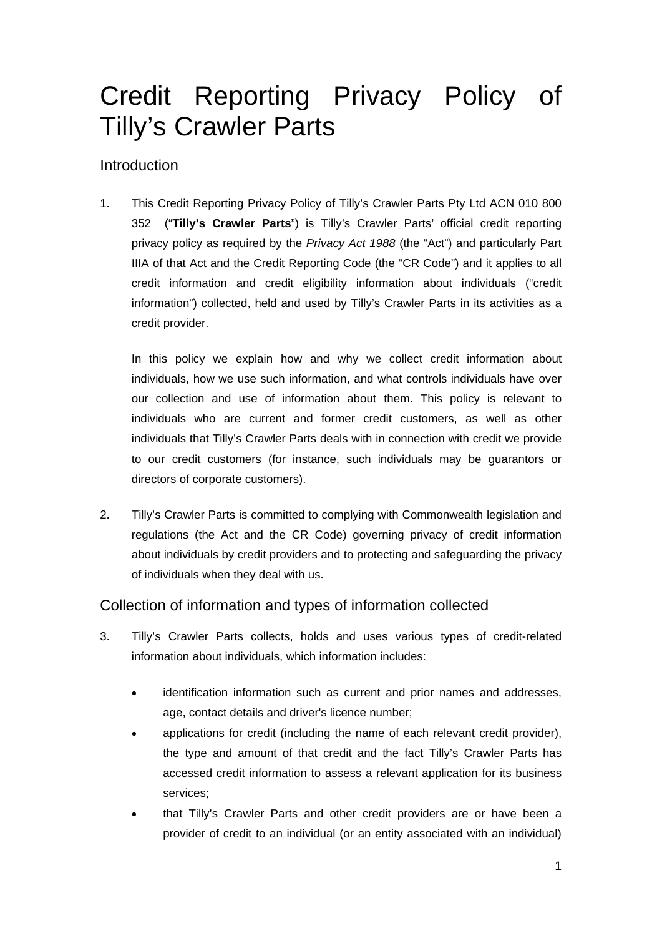# Credit Reporting Privacy Policy of Tilly's Crawler Parts

# Introduction

1. This Credit Reporting Privacy Policy of Tilly's Crawler Parts Pty Ltd ACN 010 800 352 ("**Tilly's Crawler Parts**") is Tilly's Crawler Parts' official credit reporting privacy policy as required by the *Privacy Act 1988* (the "Act") and particularly Part IIIA of that Act and the Credit Reporting Code (the "CR Code") and it applies to all credit information and credit eligibility information about individuals ("credit information") collected, held and used by Tilly's Crawler Parts in its activities as a credit provider.

In this policy we explain how and why we collect credit information about individuals, how we use such information, and what controls individuals have over our collection and use of information about them. This policy is relevant to individuals who are current and former credit customers, as well as other individuals that Tilly's Crawler Parts deals with in connection with credit we provide to our credit customers (for instance, such individuals may be guarantors or directors of corporate customers).

2. Tilly's Crawler Parts is committed to complying with Commonwealth legislation and regulations (the Act and the CR Code) governing privacy of credit information about individuals by credit providers and to protecting and safeguarding the privacy of individuals when they deal with us.

# Collection of information and types of information collected

- 3. Tilly's Crawler Parts collects, holds and uses various types of credit-related information about individuals, which information includes:
	- identification information such as current and prior names and addresses, age, contact details and driver's licence number;
	- applications for credit (including the name of each relevant credit provider), the type and amount of that credit and the fact Tilly's Crawler Parts has accessed credit information to assess a relevant application for its business services;
	- that Tilly's Crawler Parts and other credit providers are or have been a provider of credit to an individual (or an entity associated with an individual)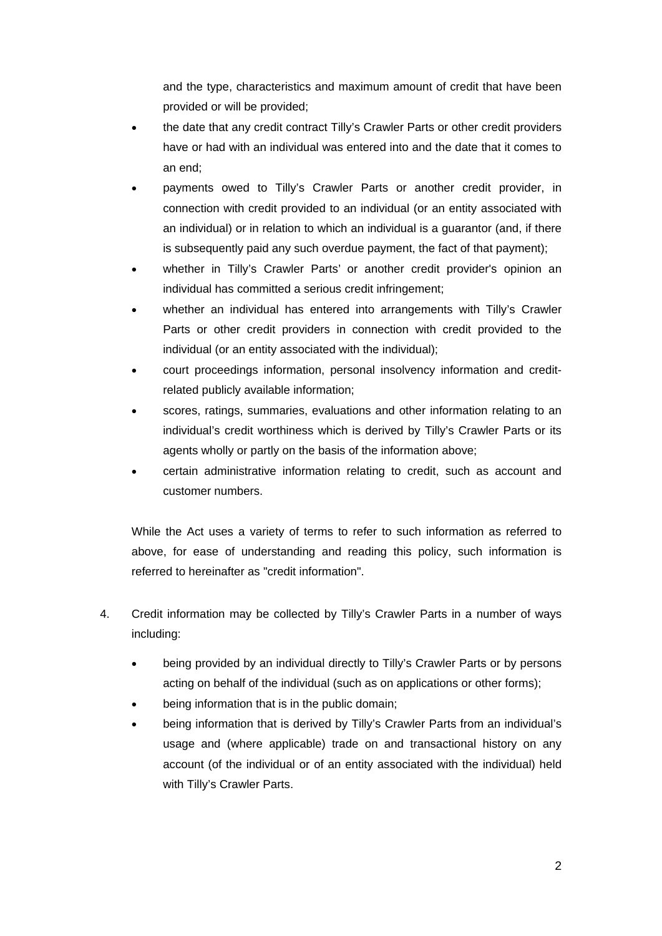and the type, characteristics and maximum amount of credit that have been provided or will be provided;

- the date that any credit contract Tilly's Crawler Parts or other credit providers have or had with an individual was entered into and the date that it comes to an end;
- payments owed to Tilly's Crawler Parts or another credit provider, in connection with credit provided to an individual (or an entity associated with an individual) or in relation to which an individual is a guarantor (and, if there is subsequently paid any such overdue payment, the fact of that payment);
- whether in Tilly's Crawler Parts' or another credit provider's opinion an individual has committed a serious credit infringement;
- whether an individual has entered into arrangements with Tilly's Crawler Parts or other credit providers in connection with credit provided to the individual (or an entity associated with the individual);
- court proceedings information, personal insolvency information and creditrelated publicly available information;
- scores, ratings, summaries, evaluations and other information relating to an individual's credit worthiness which is derived by Tilly's Crawler Parts or its agents wholly or partly on the basis of the information above;
- certain administrative information relating to credit, such as account and customer numbers.

While the Act uses a variety of terms to refer to such information as referred to above, for ease of understanding and reading this policy, such information is referred to hereinafter as "credit information".

- 4. Credit information may be collected by Tilly's Crawler Parts in a number of ways including:
	- being provided by an individual directly to Tilly's Crawler Parts or by persons acting on behalf of the individual (such as on applications or other forms);
	- being information that is in the public domain;
	- being information that is derived by Tilly's Crawler Parts from an individual's usage and (where applicable) trade on and transactional history on any account (of the individual or of an entity associated with the individual) held with Tilly's Crawler Parts.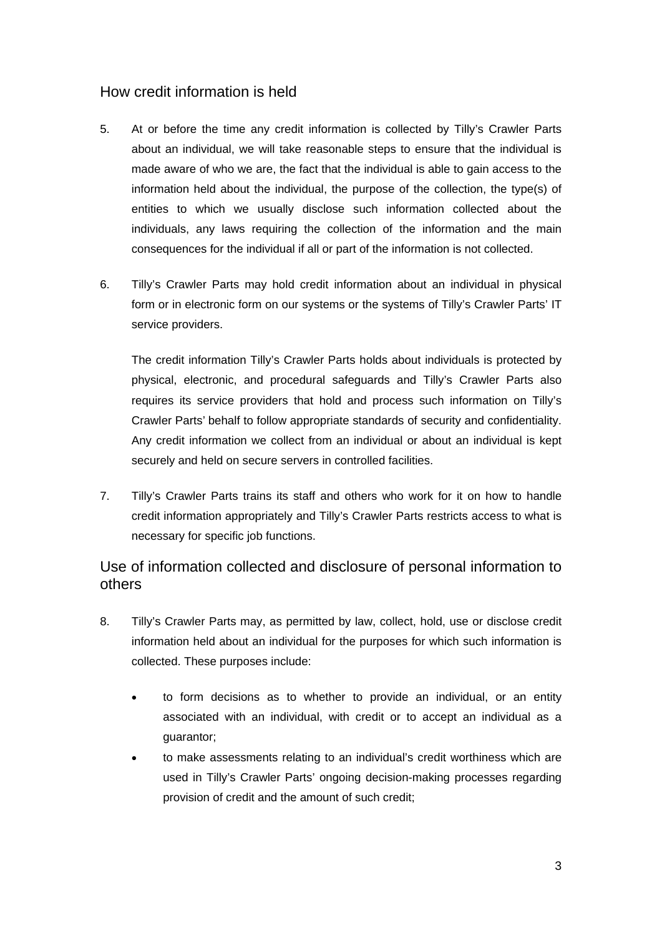# How credit information is held

- 5. At or before the time any credit information is collected by Tilly's Crawler Parts about an individual, we will take reasonable steps to ensure that the individual is made aware of who we are, the fact that the individual is able to gain access to the information held about the individual, the purpose of the collection, the type(s) of entities to which we usually disclose such information collected about the individuals, any laws requiring the collection of the information and the main consequences for the individual if all or part of the information is not collected.
- 6. Tilly's Crawler Parts may hold credit information about an individual in physical form or in electronic form on our systems or the systems of Tilly's Crawler Parts' IT service providers.

The credit information Tilly's Crawler Parts holds about individuals is protected by physical, electronic, and procedural safeguards and Tilly's Crawler Parts also requires its service providers that hold and process such information on Tilly's Crawler Parts' behalf to follow appropriate standards of security and confidentiality. Any credit information we collect from an individual or about an individual is kept securely and held on secure servers in controlled facilities.

7. Tilly's Crawler Parts trains its staff and others who work for it on how to handle credit information appropriately and Tilly's Crawler Parts restricts access to what is necessary for specific job functions.

# Use of information collected and disclosure of personal information to others

- 8. Tilly's Crawler Parts may, as permitted by law, collect, hold, use or disclose credit information held about an individual for the purposes for which such information is collected. These purposes include:
	- to form decisions as to whether to provide an individual, or an entity associated with an individual, with credit or to accept an individual as a guarantor;
	- to make assessments relating to an individual's credit worthiness which are used in Tilly's Crawler Parts' ongoing decision-making processes regarding provision of credit and the amount of such credit;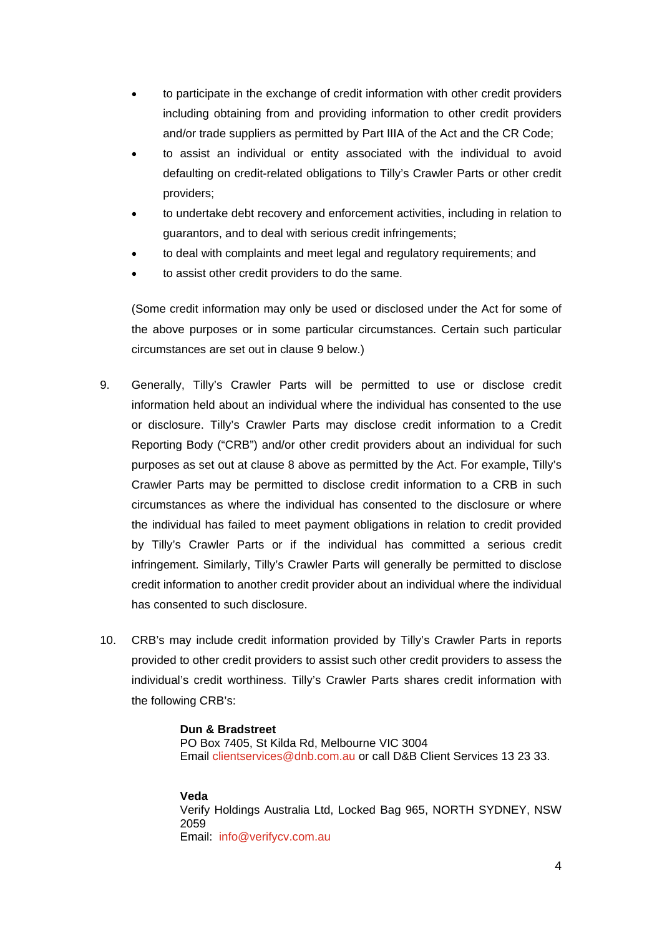- to participate in the exchange of credit information with other credit providers including obtaining from and providing information to other credit providers and/or trade suppliers as permitted by Part IIIA of the Act and the CR Code;
- to assist an individual or entity associated with the individual to avoid defaulting on credit-related obligations to Tilly's Crawler Parts or other credit providers;
- to undertake debt recovery and enforcement activities, including in relation to guarantors, and to deal with serious credit infringements;
- to deal with complaints and meet legal and regulatory requirements; and
- to assist other credit providers to do the same.

(Some credit information may only be used or disclosed under the Act for some of the above purposes or in some particular circumstances. Certain such particular circumstances are set out in clause 9 below.)

- 9. Generally, Tilly's Crawler Parts will be permitted to use or disclose credit information held about an individual where the individual has consented to the use or disclosure. Tilly's Crawler Parts may disclose credit information to a Credit Reporting Body ("CRB") and/or other credit providers about an individual for such purposes as set out at clause 8 above as permitted by the Act. For example, Tilly's Crawler Parts may be permitted to disclose credit information to a CRB in such circumstances as where the individual has consented to the disclosure or where the individual has failed to meet payment obligations in relation to credit provided by Tilly's Crawler Parts or if the individual has committed a serious credit infringement. Similarly, Tilly's Crawler Parts will generally be permitted to disclose credit information to another credit provider about an individual where the individual has consented to such disclosure.
- 10. CRB's may include credit information provided by Tilly's Crawler Parts in reports provided to other credit providers to assist such other credit providers to assess the individual's credit worthiness. Tilly's Crawler Parts shares credit information with the following CRB's:

#### **Dun & Bradstreet**

PO Box 7405, St Kilda Rd, Melbourne VIC 3004 Email clientservices@dnb.com.au or call D&B Client Services 13 23 33.

#### **Veda**

Verify Holdings Australia Ltd, Locked Bag 965, NORTH SYDNEY, NSW 2059 Email: info@verifycv.com.au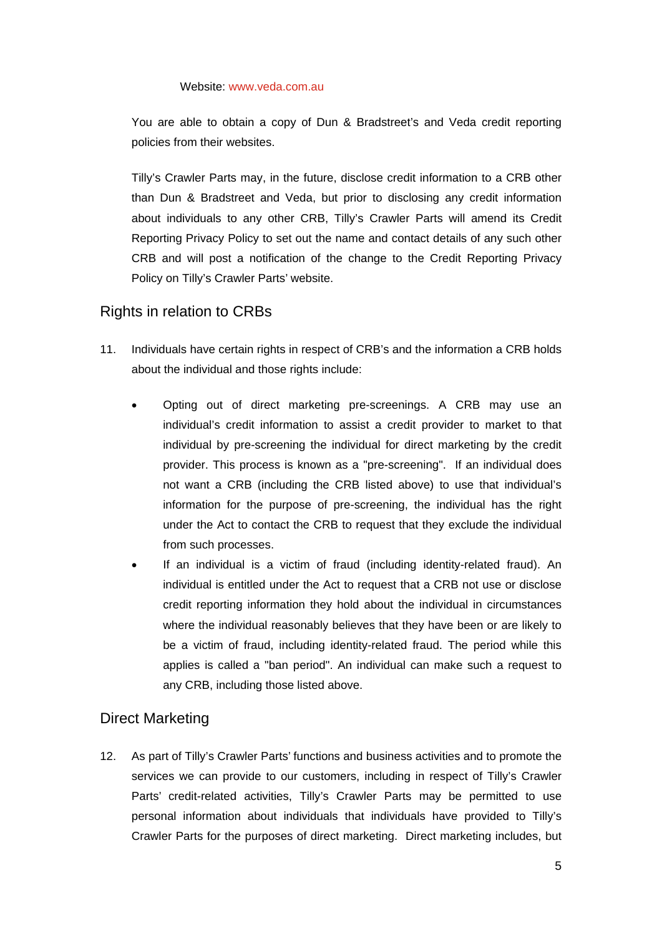#### Website: www.veda.com.au

You are able to obtain a copy of Dun & Bradstreet's and Veda credit reporting policies from their websites.

Tilly's Crawler Parts may, in the future, disclose credit information to a CRB other than Dun & Bradstreet and Veda, but prior to disclosing any credit information about individuals to any other CRB, Tilly's Crawler Parts will amend its Credit Reporting Privacy Policy to set out the name and contact details of any such other CRB and will post a notification of the change to the Credit Reporting Privacy Policy on Tilly's Crawler Parts' website.

# Rights in relation to CRBs

- 11. Individuals have certain rights in respect of CRB's and the information a CRB holds about the individual and those rights include:
	- Opting out of direct marketing pre-screenings. A CRB may use an individual's credit information to assist a credit provider to market to that individual by pre-screening the individual for direct marketing by the credit provider. This process is known as a "pre-screening". If an individual does not want a CRB (including the CRB listed above) to use that individual's information for the purpose of pre-screening, the individual has the right under the Act to contact the CRB to request that they exclude the individual from such processes.
	- If an individual is a victim of fraud (including identity-related fraud). An individual is entitled under the Act to request that a CRB not use or disclose credit reporting information they hold about the individual in circumstances where the individual reasonably believes that they have been or are likely to be a victim of fraud, including identity-related fraud. The period while this applies is called a "ban period". An individual can make such a request to any CRB, including those listed above.

# Direct Marketing

12. As part of Tilly's Crawler Parts' functions and business activities and to promote the services we can provide to our customers, including in respect of Tilly's Crawler Parts' credit-related activities, Tilly's Crawler Parts may be permitted to use personal information about individuals that individuals have provided to Tilly's Crawler Parts for the purposes of direct marketing. Direct marketing includes, but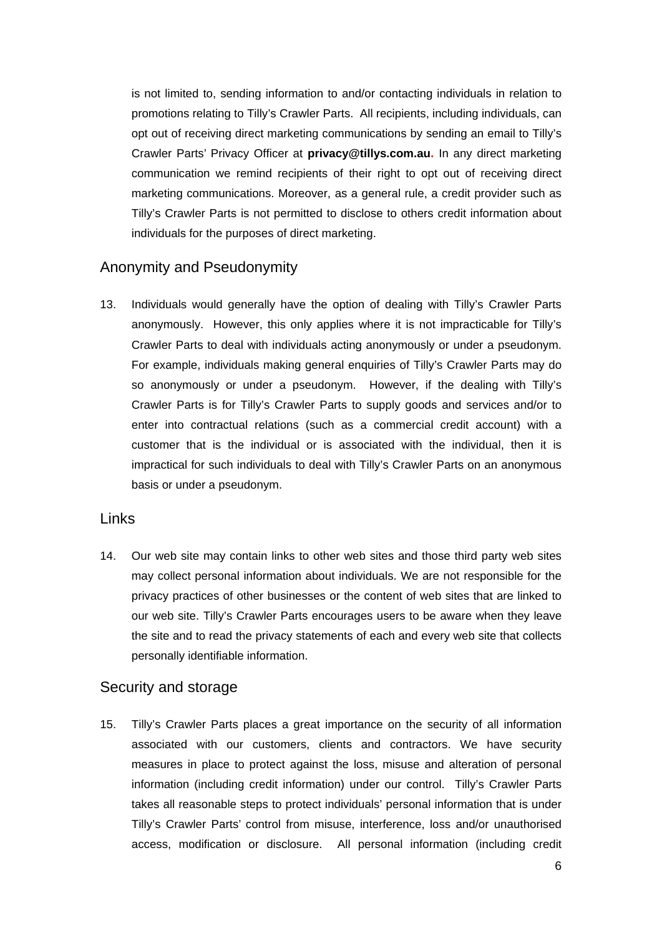is not limited to, sending information to and/or contacting individuals in relation to promotions relating to Tilly's Crawler Parts. All recipients, including individuals, can opt out of receiving direct marketing communications by sending an email to Tilly's Crawler Parts' Privacy Officer at **privacy@tillys.com.au.** In any direct marketing communication we remind recipients of their right to opt out of receiving direct marketing communications. Moreover, as a general rule, a credit provider such as Tilly's Crawler Parts is not permitted to disclose to others credit information about individuals for the purposes of direct marketing.

# Anonymity and Pseudonymity

13. Individuals would generally have the option of dealing with Tilly's Crawler Parts anonymously. However, this only applies where it is not impracticable for Tilly's Crawler Parts to deal with individuals acting anonymously or under a pseudonym. For example, individuals making general enquiries of Tilly's Crawler Parts may do so anonymously or under a pseudonym. However, if the dealing with Tilly's Crawler Parts is for Tilly's Crawler Parts to supply goods and services and/or to enter into contractual relations (such as a commercial credit account) with a customer that is the individual or is associated with the individual, then it is impractical for such individuals to deal with Tilly's Crawler Parts on an anonymous basis or under a pseudonym.

#### Links

14. Our web site may contain links to other web sites and those third party web sites may collect personal information about individuals. We are not responsible for the privacy practices of other businesses or the content of web sites that are linked to our web site. Tilly's Crawler Parts encourages users to be aware when they leave the site and to read the privacy statements of each and every web site that collects personally identifiable information.

#### Security and storage

15. Tilly's Crawler Parts places a great importance on the security of all information associated with our customers, clients and contractors. We have security measures in place to protect against the loss, misuse and alteration of personal information (including credit information) under our control. Tilly's Crawler Parts takes all reasonable steps to protect individuals' personal information that is under Tilly's Crawler Parts' control from misuse, interference, loss and/or unauthorised access, modification or disclosure. All personal information (including credit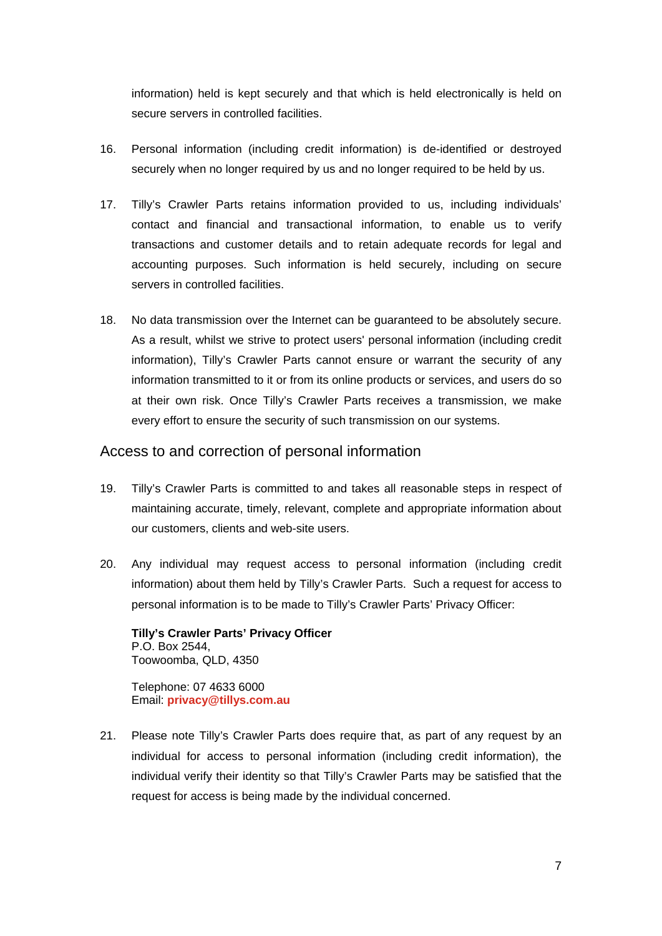information) held is kept securely and that which is held electronically is held on secure servers in controlled facilities.

- 16. Personal information (including credit information) is de-identified or destroyed securely when no longer required by us and no longer required to be held by us.
- 17. Tilly's Crawler Parts retains information provided to us, including individuals' contact and financial and transactional information, to enable us to verify transactions and customer details and to retain adequate records for legal and accounting purposes. Such information is held securely, including on secure servers in controlled facilities.
- 18. No data transmission over the Internet can be guaranteed to be absolutely secure. As a result, whilst we strive to protect users' personal information (including credit information), Tilly's Crawler Parts cannot ensure or warrant the security of any information transmitted to it or from its online products or services, and users do so at their own risk. Once Tilly's Crawler Parts receives a transmission, we make every effort to ensure the security of such transmission on our systems.

### Access to and correction of personal information

- 19. Tilly's Crawler Parts is committed to and takes all reasonable steps in respect of maintaining accurate, timely, relevant, complete and appropriate information about our customers, clients and web-site users.
- 20. Any individual may request access to personal information (including credit information) about them held by Tilly's Crawler Parts. Such a request for access to personal information is to be made to Tilly's Crawler Parts' Privacy Officer:

**Tilly's Crawler Parts' Privacy Officer**  P.O. Box 2544, Toowoomba, QLD, 4350

Telephone: 07 4633 6000 Email: **privacy@tillys.com.au**

21. Please note Tilly's Crawler Parts does require that, as part of any request by an individual for access to personal information (including credit information), the individual verify their identity so that Tilly's Crawler Parts may be satisfied that the request for access is being made by the individual concerned.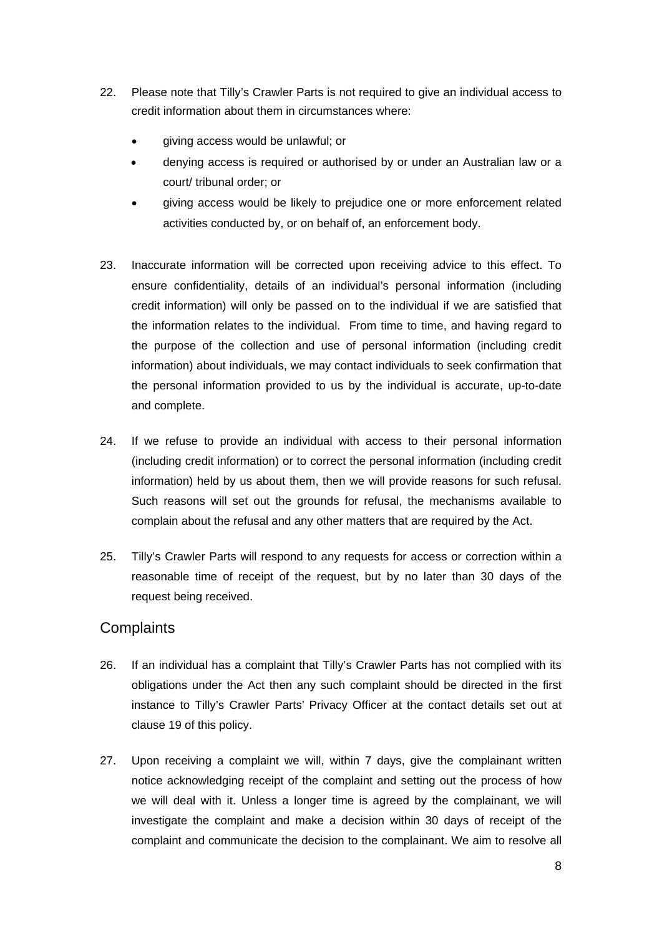- 22. Please note that Tilly's Crawler Parts is not required to give an individual access to credit information about them in circumstances where:
	- giving access would be unlawful; or
	- denying access is required or authorised by or under an Australian law or a court/ tribunal order; or
	- giving access would be likely to prejudice one or more enforcement related activities conducted by, or on behalf of, an enforcement body.
- 23. Inaccurate information will be corrected upon receiving advice to this effect. To ensure confidentiality, details of an individual's personal information (including credit information) will only be passed on to the individual if we are satisfied that the information relates to the individual. From time to time, and having regard to the purpose of the collection and use of personal information (including credit information) about individuals, we may contact individuals to seek confirmation that the personal information provided to us by the individual is accurate, up-to-date and complete.
- 24. If we refuse to provide an individual with access to their personal information (including credit information) or to correct the personal information (including credit information) held by us about them, then we will provide reasons for such refusal. Such reasons will set out the grounds for refusal, the mechanisms available to complain about the refusal and any other matters that are required by the Act.
- 25. Tilly's Crawler Parts will respond to any requests for access or correction within a reasonable time of receipt of the request, but by no later than 30 days of the request being received.

#### **Complaints**

- 26. If an individual has a complaint that Tilly's Crawler Parts has not complied with its obligations under the Act then any such complaint should be directed in the first instance to Tilly's Crawler Parts' Privacy Officer at the contact details set out at clause 19 of this policy.
- 27. Upon receiving a complaint we will, within 7 days, give the complainant written notice acknowledging receipt of the complaint and setting out the process of how we will deal with it. Unless a longer time is agreed by the complainant, we will investigate the complaint and make a decision within 30 days of receipt of the complaint and communicate the decision to the complainant. We aim to resolve all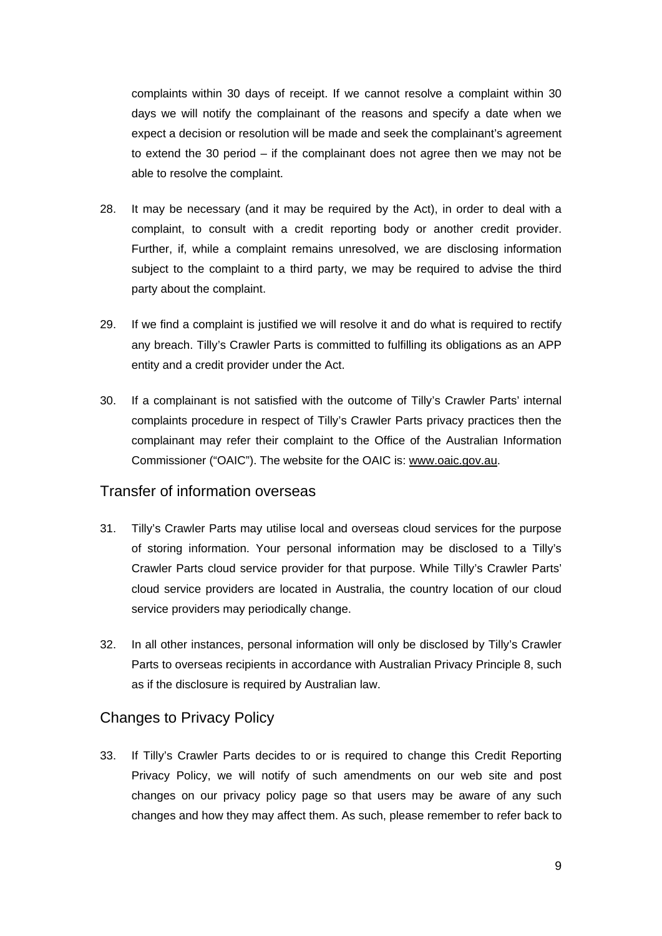complaints within 30 days of receipt. If we cannot resolve a complaint within 30 days we will notify the complainant of the reasons and specify a date when we expect a decision or resolution will be made and seek the complainant's agreement to extend the 30 period – if the complainant does not agree then we may not be able to resolve the complaint.

- 28. It may be necessary (and it may be required by the Act), in order to deal with a complaint, to consult with a credit reporting body or another credit provider. Further, if, while a complaint remains unresolved, we are disclosing information subject to the complaint to a third party, we may be required to advise the third party about the complaint.
- 29. If we find a complaint is justified we will resolve it and do what is required to rectify any breach. Tilly's Crawler Parts is committed to fulfilling its obligations as an APP entity and a credit provider under the Act.
- 30. If a complainant is not satisfied with the outcome of Tilly's Crawler Parts' internal complaints procedure in respect of Tilly's Crawler Parts privacy practices then the complainant may refer their complaint to the Office of the Australian Information Commissioner ("OAIC"). The website for the OAIC is: www.oaic.gov.au.

#### Transfer of information overseas

- 31. Tilly's Crawler Parts may utilise local and overseas cloud services for the purpose of storing information. Your personal information may be disclosed to a Tilly's Crawler Parts cloud service provider for that purpose. While Tilly's Crawler Parts' cloud service providers are located in Australia, the country location of our cloud service providers may periodically change.
- 32. In all other instances, personal information will only be disclosed by Tilly's Crawler Parts to overseas recipients in accordance with Australian Privacy Principle 8, such as if the disclosure is required by Australian law.

#### Changes to Privacy Policy

33. If Tilly's Crawler Parts decides to or is required to change this Credit Reporting Privacy Policy, we will notify of such amendments on our web site and post changes on our privacy policy page so that users may be aware of any such changes and how they may affect them. As such, please remember to refer back to